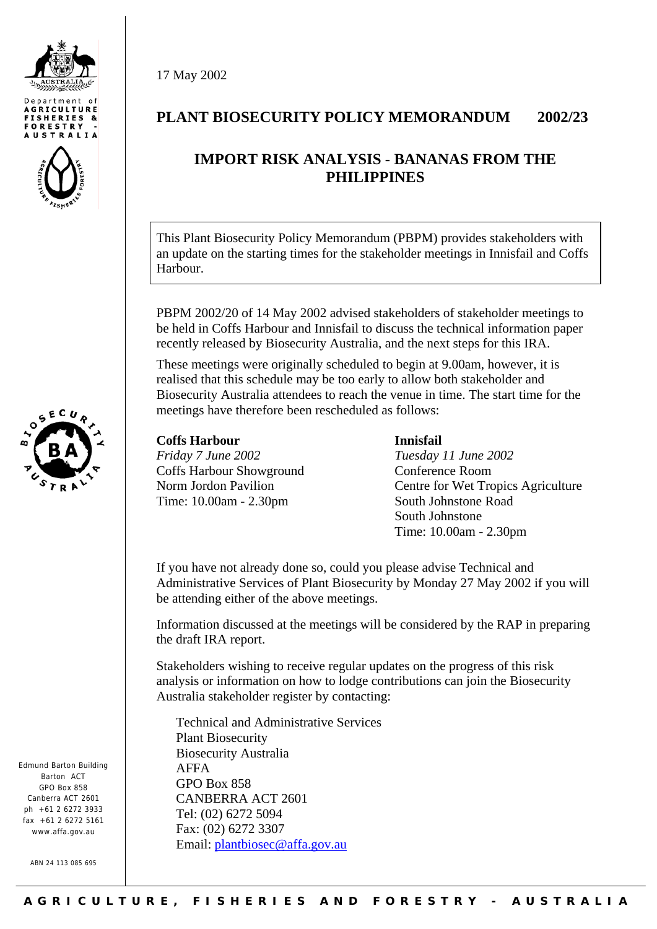





Edmund Barton Building Barton ACT GPO Box 858 Canberra ACT 2601  $nh + 61$  2 6272 3933 fax +61 2 6272 5161 www.affa.gov.au

ABN 24 113 085 695

17 May 2002

## **PLANT BIOSECURITY POLICY MEMORANDUM 2002/23**

# **IMPORT RISK ANALYSIS - BANANAS FROM THE PHILIPPINES**

This Plant Biosecurity Policy Memorandum (PBPM) provides stakeholders with an update on the starting times for the stakeholder meetings in Innisfail and Coffs Harbour.

PBPM 2002/20 of 14 May 2002 advised stakeholders of stakeholder meetings to be held in Coffs Harbour and Innisfail to discuss the technical information paper recently released by Biosecurity Australia, and the next steps for this IRA.

These meetings were originally scheduled to begin at 9.00am, however, it is realised that this schedule may be too early to allow both stakeholder and Biosecurity Australia attendees to reach the venue in time. The start time for the meetings have therefore been rescheduled as follows:

**Coffs Harbour**  *Friday 7 June 2002* Coffs Harbour Showground Norm Jordon Pavilion Time: 10.00am - 2.30pm

#### **Innisfail**

*Tuesday 11 June 2002* Conference Room Centre for Wet Tropics Agriculture South Johnstone Road South Johnstone Time: 10.00am - 2.30pm

If you have not already done so, could you please advise Technical and Administrative Services of Plant Biosecurity by Monday 27 May 2002 if you will be attending either of the above meetings.

Information discussed at the meetings will be considered by the RAP in preparing the draft IRA report.

Stakeholders wishing to receive regular updates on the progress of this risk analysis or information on how to lodge contributions can join the Biosecurity Australia stakeholder register by contacting:

Technical and Administrative Services Plant Biosecurity Biosecurity Australia AFFA GPO Box 858 CANBERRA ACT 2601 Tel: (02) 6272 5094 Fax: (02) 6272 3307 Email: [plantbiosec@affa.gov.au](mailto:plantbiosec@affa.gov.au)